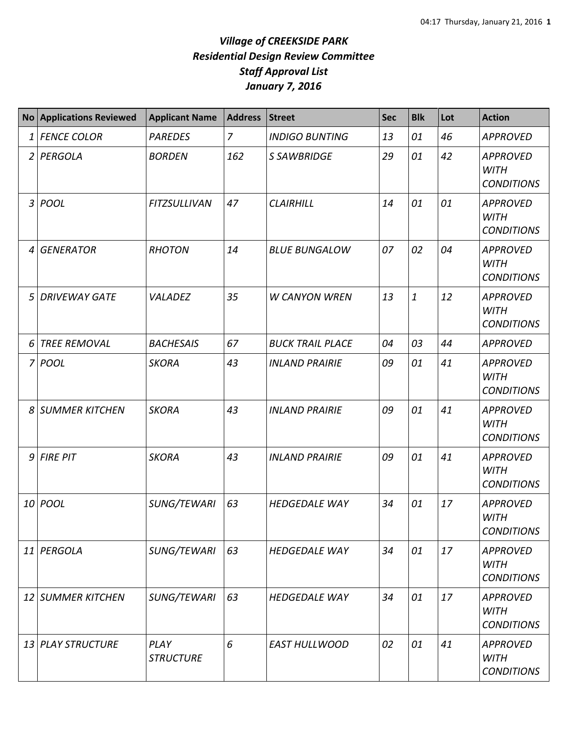## *Village of CREEKSIDE PARK Residential Design Review Committee Staff Approval List January 7, 2016*

|                | No Applications Reviewed | <b>Applicant Name</b>    | <b>Address</b> | <b>Street</b>           | <b>Sec</b> | <b>Blk</b>   | Lot | <b>Action</b>                                       |
|----------------|--------------------------|--------------------------|----------------|-------------------------|------------|--------------|-----|-----------------------------------------------------|
| 1              | <b>FENCE COLOR</b>       | <b>PAREDES</b>           | $\overline{z}$ | <b>INDIGO BUNTING</b>   | 13         | 01           | 46  | <b>APPROVED</b>                                     |
| $\overline{2}$ | PERGOLA                  | <b>BORDEN</b>            | 162            | S SAWBRIDGE             | 29         | 01           | 42  | <b>APPROVED</b><br><b>WITH</b><br><b>CONDITIONS</b> |
| 3              | <b>POOL</b>              | <b>FITZSULLIVAN</b>      | 47             | <b>CLAIRHILL</b>        | 14         | 01           | 01  | <b>APPROVED</b><br><b>WITH</b><br><b>CONDITIONS</b> |
| $\overline{4}$ | <b>GENERATOR</b>         | <b>RHOTON</b>            | 14             | <b>BLUE BUNGALOW</b>    | 07         | 02           | 04  | <b>APPROVED</b><br><b>WITH</b><br><b>CONDITIONS</b> |
| 5              | <b>DRIVEWAY GATE</b>     | VALADEZ                  | 35             | <b>W CANYON WREN</b>    | 13         | $\mathbf{1}$ | 12  | <b>APPROVED</b><br><b>WITH</b><br><b>CONDITIONS</b> |
| 6              | <b>TREE REMOVAL</b>      | <b>BACHESAIS</b>         | 67             | <b>BUCK TRAIL PLACE</b> | 04         | 03           | 44  | <b>APPROVED</b>                                     |
|                | 7 POOL                   | <b>SKORA</b>             | 43             | <b>INLAND PRAIRIE</b>   | 09         | 01           | 41  | <b>APPROVED</b><br><b>WITH</b><br><b>CONDITIONS</b> |
|                | 8 SUMMER KITCHEN         | <b>SKORA</b>             | 43             | <b>INLAND PRAIRIE</b>   | 09         | 01           | 41  | <b>APPROVED</b><br><b>WITH</b><br><b>CONDITIONS</b> |
|                | $9$ FIRE PIT             | <b>SKORA</b>             | 43             | <b>INLAND PRAIRIE</b>   | 09         | 01           | 41  | <b>APPROVED</b><br><b>WITH</b><br><b>CONDITIONS</b> |
|                | 10 POOL                  | SUNG/TEWARI              | 63             | <b>HEDGEDALE WAY</b>    | 34         | 01           | 17  | <b>APPROVED</b><br><b>WITH</b><br><b>CONDITIONS</b> |
|                | 11 PERGOLA               | <b>SUNG/TEWARI</b>       | 63             | <b>HEDGEDALE WAY</b>    | 34         | 01           | 17  | <b>APPROVED</b><br><b>WITH</b><br><b>CONDITIONS</b> |
|                | 12 SUMMER KITCHEN        | SUNG/TEWARI              | 63             | <b>HEDGEDALE WAY</b>    | 34         | 01           | 17  | <b>APPROVED</b><br><b>WITH</b><br><b>CONDITIONS</b> |
|                | 13 PLAY STRUCTURE        | PLAY<br><b>STRUCTURE</b> | 6              | <b>EAST HULLWOOD</b>    | 02         | 01           | 41  | <b>APPROVED</b><br><b>WITH</b><br><b>CONDITIONS</b> |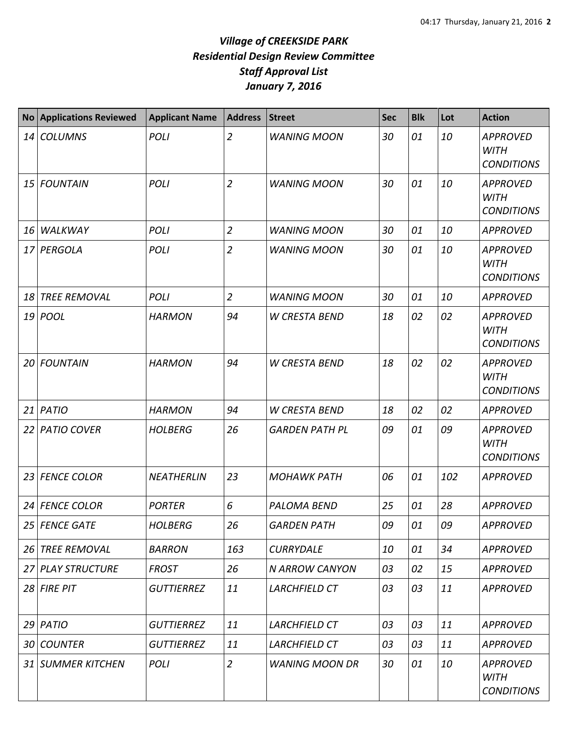## *Village of CREEKSIDE PARK Residential Design Review Committee Staff Approval List January 7, 2016*

| <b>No</b>       | <b>Applications Reviewed</b> | <b>Applicant Name</b> | Address        | <b>Street</b>         | <b>Sec</b> | <b>Blk</b> | Lot | <b>Action</b>                                       |
|-----------------|------------------------------|-----------------------|----------------|-----------------------|------------|------------|-----|-----------------------------------------------------|
| 14              | <b>COLUMNS</b>               | <b>POLI</b>           | $\overline{2}$ | <b>WANING MOON</b>    | 30         | 01         | 10  | <b>APPROVED</b><br><b>WITH</b><br><b>CONDITIONS</b> |
| 15              | <b>FOUNTAIN</b>              | <b>POLI</b>           | $\overline{2}$ | <b>WANING MOON</b>    | 30         | 01         | 10  | <b>APPROVED</b><br><b>WITH</b><br><b>CONDITIONS</b> |
| 16              | WALKWAY                      | <b>POLI</b>           | $\overline{2}$ | <b>WANING MOON</b>    | 30         | 01         | 10  | <b>APPROVED</b>                                     |
| 17              | PERGOLA                      | <b>POLI</b>           | $\overline{2}$ | <b>WANING MOON</b>    | 30         | 01         | 10  | <b>APPROVED</b><br><b>WITH</b><br><b>CONDITIONS</b> |
| 18              | <b>TREE REMOVAL</b>          | POLI                  | $\overline{2}$ | <b>WANING MOON</b>    | 30         | 01         | 10  | <b>APPROVED</b>                                     |
|                 | 19 <i>POOL</i>               | <b>HARMON</b>         | 94             | <b>W CRESTA BEND</b>  | 18         | 02         | 02  | <b>APPROVED</b><br><b>WITH</b><br><b>CONDITIONS</b> |
| 20              | <b>FOUNTAIN</b>              | <b>HARMON</b>         | 94             | <b>W CRESTA BEND</b>  | 18         | 02         | 02  | <b>APPROVED</b><br><b>WITH</b><br><b>CONDITIONS</b> |
| 21              | <b>PATIO</b>                 | <b>HARMON</b>         | 94             | <b>W CRESTA BEND</b>  | 18         | 02         | 02  | <b>APPROVED</b>                                     |
| 22              | <b>PATIO COVER</b>           | <b>HOLBERG</b>        | 26             | <b>GARDEN PATH PL</b> | 09         | 01         | 09  | <b>APPROVED</b><br><b>WITH</b><br><b>CONDITIONS</b> |
| 23              | <b>FENCE COLOR</b>           | <b>NEATHERLIN</b>     | 23             | <b>MOHAWK PATH</b>    | 06         | 01         | 102 | <b>APPROVED</b>                                     |
| 24              | <b>FENCE COLOR</b>           | <b>PORTER</b>         | 6              | <b>PALOMA BEND</b>    | 25         | 01         | 28  | <b>APPROVED</b>                                     |
|                 | 25 FENCE GATE                | <b>HOLBERG</b>        | 26             | <b>GARDEN PATH</b>    | 09         | 01         | 09  | <b>APPROVED</b>                                     |
|                 | 26 TREE REMOVAL              | <b>BARRON</b>         | 163            | <b>CURRYDALE</b>      | 10         | 01         | 34  | <b>APPROVED</b>                                     |
| 27              | <b>PLAY STRUCTURE</b>        | <b>FROST</b>          | 26             | N ARROW CANYON        | 03         | 02         | 15  | <b>APPROVED</b>                                     |
|                 | $28$ FIRE PIT                | <b>GUTTIERREZ</b>     | 11             | LARCHFIELD CT         | 03         | 03         | 11  | <b>APPROVED</b>                                     |
|                 | $29$ PATIO                   | <b>GUTTIERREZ</b>     | 11             | LARCHFIELD CT         | 03         | 03         | 11  | <b>APPROVED</b>                                     |
| 30 <sup>1</sup> | <b>COUNTER</b>               | <b>GUTTIERREZ</b>     | 11             | LARCHFIELD CT         | 03         | 03         | 11  | <b>APPROVED</b>                                     |
|                 | 31 SUMMER KITCHEN            | POLI                  | $\overline{2}$ | <b>WANING MOON DR</b> | 30         | 01         | 10  | <b>APPROVED</b><br><b>WITH</b><br><b>CONDITIONS</b> |